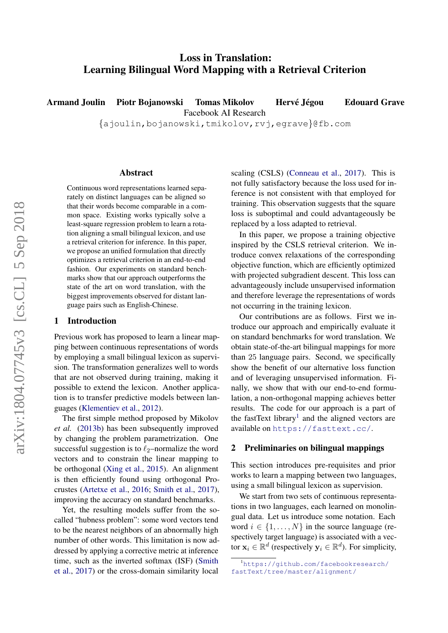# Loss in Translation: Learning Bilingual Word Mapping with a Retrieval Criterion

Armand Joulin Piotr Bojanowski Tomas Mikolov Hervé Jégou Edouard Grave

Facebook AI Research

{ajoulin,bojanowski,tmikolov,rvj,egrave}@fb.com

#### Abstract

Continuous word representations learned separately on distinct languages can be aligned so that their words become comparable in a common space. Existing works typically solve a least-square regression problem to learn a rotation aligning a small bilingual lexicon, and use a retrieval criterion for inference. In this paper, we propose an unified formulation that directly optimizes a retrieval criterion in an end-to-end fashion. Our experiments on standard benchmarks show that our approach outperforms the state of the art on word translation, with the biggest improvements observed for distant language pairs such as English-Chinese.

## 1 Introduction

Previous work has proposed to learn a linear mapping between continuous representations of words by employing a small bilingual lexicon as supervision. The transformation generalizes well to words that are not observed during training, making it possible to extend the lexicon. Another application is to transfer predictive models between languages [\(Klementiev et al.,](#page-5-0) [2012\)](#page-5-0).

The first simple method proposed by Mikolov *et al.* [\(2013b\)](#page-5-1) has been subsequently improved by changing the problem parametrization. One successful suggestion is to  $\ell_2$ –normalize the word vectors and to constrain the linear mapping to be orthogonal [\(Xing et al.,](#page-5-2) [2015\)](#page-5-2). An alignment is then efficiently found using orthogonal Procrustes [\(Artetxe et al.,](#page-5-3) [2016;](#page-5-3) [Smith et al.,](#page-5-4) [2017\)](#page-5-4), improving the accuracy on standard benchmarks.

Yet, the resulting models suffer from the socalled "hubness problem": some word vectors tend to be the nearest neighbors of an abnormally high number of other words. This limitation is now addressed by applying a corrective metric at inference time, such as the inverted softmax (ISF) [\(Smith](#page-5-4) [et al.,](#page-5-4) [2017\)](#page-5-4) or the cross-domain similarity local

scaling (CSLS) [\(Conneau et al.,](#page-5-5) [2017\)](#page-5-5). This is not fully satisfactory because the loss used for inference is not consistent with that employed for training. This observation suggests that the square loss is suboptimal and could advantageously be replaced by a loss adapted to retrieval.

In this paper, we propose a training objective inspired by the CSLS retrieval criterion. We introduce convex relaxations of the corresponding objective function, which are efficiently optimized with projected subgradient descent. This loss can advantageously include unsupervised information and therefore leverage the representations of words not occurring in the training lexicon.

Our contributions are as follows. First we introduce our approach and empirically evaluate it on standard benchmarks for word translation. We obtain state-of-the-art bilingual mappings for more than 25 language pairs. Second, we specifically show the benefit of our alternative loss function and of leveraging unsupervised information. Finally, we show that with our end-to-end formulation, a non-orthogonal mapping achieves better results. The code for our approach is a part of the fastText library<sup>[1](#page-0-0)</sup> and the aligned vectors are available on <https://fasttext.cc/>.

# 2 Preliminaries on bilingual mappings

This section introduces pre-requisites and prior works to learn a mapping between two languages, using a small bilingual lexicon as supervision.

We start from two sets of continuous representations in two languages, each learned on monolingual data. Let us introduce some notation. Each word  $i \in \{1, \ldots, N\}$  in the source language (respectively target language) is associated with a vector  $x_i \in \mathbb{R}^d$  (respectively  $y_i \in \mathbb{R}^d$ ). For simplicity,

<span id="page-0-0"></span><sup>1</sup>[https://github.com/facebookresearch/](https://github.com/facebookresearch/fastText/tree/master/alignment/) [fastText/tree/master/alignment/](https://github.com/facebookresearch/fastText/tree/master/alignment/)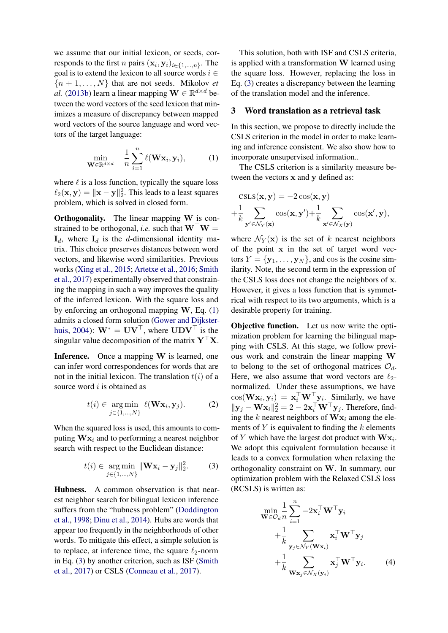we assume that our initial lexicon, or seeds, corresponds to the first *n* pairs  $(\mathbf{x}_i, \mathbf{y}_i)_{i \in \{1, ..., n\}}$ . The goal is to extend the lexicon to all source words  $i \in$  ${n + 1, \ldots, N}$  that are not seeds. Mikolov *et al.* [\(2013b\)](#page-5-1) learn a linear mapping  $\mathbf{W} \in \mathbb{R}^{d \times d}$  between the word vectors of the seed lexicon that minimizes a measure of discrepancy between mapped word vectors of the source language and word vectors of the target language:

<span id="page-1-0"></span>
$$
\min_{\mathbf{W}\in\mathbb{R}^{d\times d}} \quad \frac{1}{n}\sum_{i=1}^{n} \ell(\mathbf{W}\mathbf{x}_i, \mathbf{y}_i), \tag{1}
$$

where  $\ell$  is a loss function, typically the square loss  $\ell_2(\mathbf{x}, \mathbf{y}) = \|\mathbf{x} - \mathbf{y}\|_2^2$ . This leads to a least squares problem, which is solved in closed form.

**Orthogonality.** The linear mapping W is constrained to be orthogonal, *i.e.* such that  $W^{\top}W =$  $\mathbf{I}_d$ , where  $\mathbf{I}_d$  is the *d*-dimensional identity matrix. This choice preserves distances between word vectors, and likewise word similarities. Previous works [\(Xing et al.,](#page-5-2) [2015;](#page-5-2) [Artetxe et al.,](#page-5-3) [2016;](#page-5-3) [Smith](#page-5-4) [et al.,](#page-5-4) [2017\)](#page-5-4) experimentally observed that constraining the mapping in such a way improves the quality of the inferred lexicon. With the square loss and by enforcing an orthogonal mapping  $W$ , Eq. [\(1\)](#page-1-0) admits a closed form solution [\(Gower and Dijkster](#page-5-6)[huis,](#page-5-6) [2004\)](#page-5-6):  $\mathbf{W}^* = \mathbf{U}\mathbf{V}^\top$ , where  $\mathbf{U}\mathbf{D}\mathbf{V}^\top$  is the singular value decomposition of the matrix  $\mathbf{Y}^\top \mathbf{X}$ .

Inference. Once a mapping W is learned, one can infer word correspondences for words that are not in the initial lexicon. The translation  $t(i)$  of a source word *i* is obtained as

$$
t(i) \in \underset{j \in \{1,\ldots,N\}}{\arg \min} \ell(\mathbf{W}\mathbf{x}_i, \mathbf{y}_j). \tag{2}
$$

When the squared loss is used, this amounts to computing  $\mathbf{W} \mathbf{x}_i$  and to performing a nearest neighbor search with respect to the Euclidean distance:

$$
t(i) \in \underset{j \in \{1, ..., N\}}{\arg \min} \|\mathbf{W} \mathbf{x}_i - \mathbf{y}_j\|_2^2. \tag{3}
$$

Hubness. A common observation is that nearest neighbor search for bilingual lexicon inference suffers from the "hubness problem" [\(Doddington](#page-5-7) [et al.,](#page-5-7) [1998;](#page-5-7) [Dinu et al.,](#page-5-8) [2014\)](#page-5-8). Hubs are words that appear too frequently in the neighborhoods of other words. To mitigate this effect, a simple solution is to replace, at inference time, the square  $\ell_2$ -norm in Eq. [\(3\)](#page-1-1) by another criterion, such as ISF [\(Smith](#page-5-4) [et al.,](#page-5-4) [2017\)](#page-5-4) or CSLS [\(Conneau et al.,](#page-5-5) [2017\)](#page-5-5).

This solution, both with ISF and CSLS criteria, is applied with a transformation  $W$  learned using the square loss. However, replacing the loss in Eq. [\(3\)](#page-1-1) creates a discrepancy between the learning of the translation model and the inference.

### 3 Word translation as a retrieval task

In this section, we propose to directly include the CSLS criterion in the model in order to make learning and inference consistent. We also show how to incorporate unsupervised information..

The CSLS criterion is a similarity measure between the vectors x and y defined as:

$$
\text{CSLS}(\mathbf{x}, \mathbf{y}) = -2\cos(\mathbf{x}, \mathbf{y}) + \frac{1}{k} \sum_{\mathbf{y}' \in \mathcal{N}_Y(\mathbf{x})} \cos(\mathbf{x}, \mathbf{y}') + \frac{1}{k} \sum_{\mathbf{x}' \in \mathcal{N}_X(\mathbf{y})} \cos(\mathbf{x}', \mathbf{y}),
$$

where  $\mathcal{N}_Y(\mathbf{x})$  is the set of k nearest neighbors of the point x in the set of target word vectors  $Y = \{y_1, \ldots, y_N\}$ , and cos is the cosine similarity. Note, the second term in the expression of the CSLS loss does not change the neighbors of x. However, it gives a loss function that is symmetrical with respect to its two arguments, which is a desirable property for training.

Objective function. Let us now write the optimization problem for learning the bilingual mapping with CSLS. At this stage, we follow previous work and constrain the linear mapping W to belong to the set of orthogonal matrices  $\mathcal{O}_d$ . Here, we also assume that word vectors are  $\ell_2$ normalized. Under these assumptions, we have  $cos(\mathbf{W}\mathbf{x}_i, \mathbf{y}_i) = \mathbf{x}_i^{\top} \mathbf{W}^{\top} \mathbf{y}_i$ . Similarly, we have  $\|\mathbf{y}_j - \mathbf{W}\mathbf{x}_i\|_2^2 = 2 - 2\mathbf{x}_i^{\top} \mathbf{W}^{\top} \mathbf{y}_j$ . Therefore, finding the k nearest neighbors of  $\mathbf{W} \mathbf{x}_i$  among the elements of  $Y$  is equivalent to finding the  $k$  elements of Y which have the largest dot product with  $\mathbf{W}\mathbf{x}_i$ . We adopt this equivalent formulation because it leads to a convex formulation when relaxing the orthogonality constraint on W. In summary, our optimization problem with the Relaxed CSLS loss (RCSLS) is written as:

<span id="page-1-2"></span><span id="page-1-1"></span>
$$
\begin{split}\n&\min_{\mathbf{W}\in\mathcal{O}_{d}}\frac{1}{n}\sum_{i=1}^{n}-2\mathbf{x}_{i}^{\top}\mathbf{W}^{\top}\mathbf{y}_{i} \\
&+\frac{1}{k}\sum_{\mathbf{y}_{j}\in\mathcal{N}_{Y}(\mathbf{W}\mathbf{x}_{i})}\mathbf{x}_{i}^{\top}\mathbf{W}^{\top}\mathbf{y}_{j} \\
&+\frac{1}{k}\sum_{\mathbf{W}\mathbf{x}_{j}\in\mathcal{N}_{X}(\mathbf{y}_{i})}\mathbf{x}_{j}^{\top}\mathbf{W}^{\top}\mathbf{y}_{i}.\n\end{split} \tag{4}
$$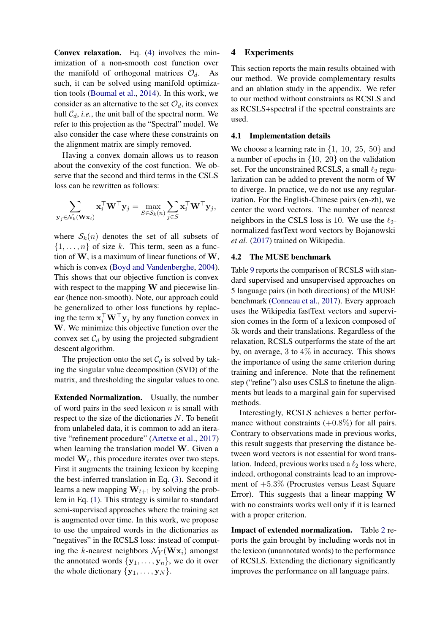Convex relaxation. Eq. [\(4\)](#page-1-2) involves the minimization of a non-smooth cost function over the manifold of orthogonal matrices  $\mathcal{O}_d$ . As such, it can be solved using manifold optimization tools [\(Boumal et al.,](#page-5-9) [2014\)](#page-5-9). In this work, we consider as an alternative to the set  $\mathcal{O}_d$ , its convex hull  $C_d$ , *i.e.*, the unit ball of the spectral norm. We refer to this projection as the "Spectral" model. We also consider the case where these constraints on the alignment matrix are simply removed.

Having a convex domain allows us to reason about the convexity of the cost function. We observe that the second and third terms in the CSLS loss can be rewritten as follows:

$$
\sum_{\mathbf{y}_j \in \mathcal{N}_k(\mathbf{W}\mathbf{x}_i)} \mathbf{x}_i^\top \mathbf{W}^\top \mathbf{y}_j = \max_{S \in \mathcal{S}_k(n)} \sum_{j \in S} \mathbf{x}_i^\top \mathbf{W}^\top \mathbf{y}_j,
$$

where  $S_k(n)$  denotes the set of all subsets of  $\{1, \ldots, n\}$  of size k. This term, seen as a function of  $W$ , is a maximum of linear functions of  $W$ , which is convex [\(Boyd and Vandenberghe,](#page-5-10) [2004\)](#page-5-10). This shows that our objective function is convex with respect to the mapping W and piecewise linear (hence non-smooth). Note, our approach could be generalized to other loss functions by replacing the term  $\mathbf{x}_i^{\top} \mathbf{W}^{\top} \mathbf{y}_j$  by any function convex in W. We minimize this objective function over the convex set  $C_d$  by using the projected subgradient descent algorithm.

The projection onto the set  $C_d$  is solved by taking the singular value decomposition (SVD) of the matrix, and thresholding the singular values to one.

Extended Normalization. Usually, the number of word pairs in the seed lexicon  $n$  is small with respect to the size of the dictionaries N. To benefit from unlabeled data, it is common to add an iterative "refinement procedure" [\(Artetxe et al.,](#page-5-11) [2017\)](#page-5-11) when learning the translation model W. Given a model  $W_t$ , this procedure iterates over two steps. First it augments the training lexicon by keeping the best-inferred translation in Eq. [\(3\)](#page-1-1). Second it learns a new mapping  $W_{t+1}$  by solving the problem in Eq. [\(1\)](#page-1-0). This strategy is similar to standard semi-supervised approaches where the training set is augmented over time. In this work, we propose to use the unpaired words in the dictionaries as "negatives" in the RCSLS loss: instead of computing the k-nearest neighbors  $\mathcal{N}_Y(\mathbf{W} \mathbf{x}_i)$  amongst the annotated words  $\{y_1, \ldots, y_n\}$ , we do it over the whole dictionary  $\{y_1, \ldots, y_N\}$ .

# 4 Experiments

This section reports the main results obtained with our method. We provide complementary results and an ablation study in the appendix. We refer to our method without constraints as RCSLS and as RCSLS+spectral if the spectral constraints are used.

### 4.1 Implementation details

We choose a learning rate in  $\{1, 10, 25, 50\}$  and a number of epochs in  $\{10, 20\}$  on the validation set. For the unconstrained RCSLS, a small  $\ell_2$  regularization can be added to prevent the norm of W to diverge. In practice, we do not use any regularization. For the English-Chinese pairs (en-zh), we center the word vectors. The number of nearest neighbors in the CSLS loss is 10. We use the  $\ell_2$ normalized fastText word vectors by Bojanowski *et al.* [\(2017\)](#page-5-12) trained on Wikipedia.

#### 4.2 The MUSE benchmark

Table [9](#page-7-0) reports the comparison of RCSLS with standard supervised and unsupervised approaches on 5 language pairs (in both directions) of the MUSE benchmark [\(Conneau et al.,](#page-5-5) [2017\)](#page-5-5). Every approach uses the Wikipedia fastText vectors and supervision comes in the form of a lexicon composed of 5k words and their translations. Regardless of the relaxation, RCSLS outperforms the state of the art by, on average, 3 to  $4\%$  in accuracy. This shows the importance of using the same criterion during training and inference. Note that the refinement step ("refine") also uses CSLS to finetune the alignments but leads to a marginal gain for supervised methods.

Interestingly, RCSLS achieves a better performance without constraints  $(+0.8\%)$  for all pairs. Contrary to observations made in previous works, this result suggests that preserving the distance between word vectors is not essential for word translation. Indeed, previous works used a  $\ell_2$  loss where, indeed, orthogonal constraints lead to an improvement of +5.3% (Procrustes versus Least Square Error). This suggests that a linear mapping W with no constraints works well only if it is learned with a proper criterion.

Impact of extended normalization. Table [2](#page-3-0) reports the gain brought by including words not in the lexicon (unannotated words) to the performance of RCSLS. Extending the dictionary significantly improves the performance on all language pairs.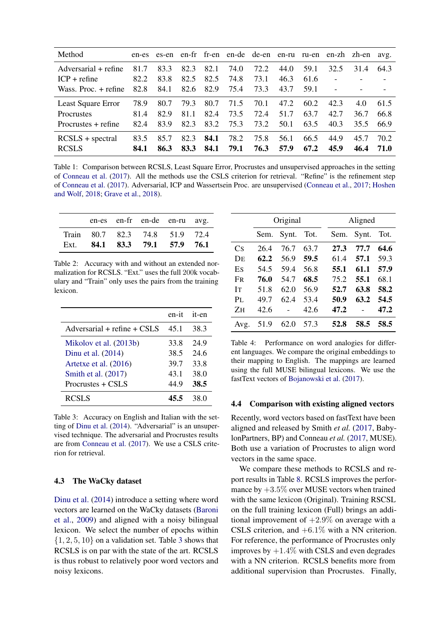| Method                             | en-es        | es-en        |              |              |              |              |              |              |              | en-fr fr-en en-de de-en en-ru ru-en en-zh zh-en avg. |              |
|------------------------------------|--------------|--------------|--------------|--------------|--------------|--------------|--------------|--------------|--------------|------------------------------------------------------|--------------|
| Adversarial + refine               | 81.7         | 83.3         | 82.3         | 82.1         | 74.0         | 72.2         | 44.0         | 59.1         | 32.5         | 31.4                                                 | 64.3         |
| $ICP + refine$                     | 82.2         | 83.8         | 82.5         | 82.5         | 74.8         | 73.1         | 46.3         | 61.6         |              |                                                      |              |
| Wass. Proc. + refine               | 82.8         | 84.1         | 82.6         | 82.9         | 75.4         | 73.3         | 43.7         | 59.1         |              |                                                      |              |
| Least Square Error                 | 78.9         | 80.7         | 79.3         | 80.7         | 71.5         | 70.1         | 47.2         | 60.2         | 42.3         | 4.0                                                  | 61.5         |
| <b>Procrustes</b>                  | 81.4         | 82.9         | 81.1         | 82.4         | 73.5         | 72.4         | 51.7         | 63.7         | 42.7         | 36.7                                                 | 66.8         |
| Procrustes + refine                | 82.4         | 83.9         | 82.3         | 83.2         | 75.3         | 73.2         | 50.1         | 63.5         | 40.3         | 35.5                                                 | 66.9         |
| $RCSLS + spectral$<br><b>RCSLS</b> | 83.5<br>84.1 | 85.7<br>86.3 | 82.3<br>83.3 | 84.1<br>84.1 | 78.2<br>79.1 | 75.8<br>76.3 | 56.1<br>57.9 | 66.5<br>67.2 | 44.9<br>45.9 | 45.7<br>46.4                                         | 70.2<br>71.O |

Table 1: Comparison between RCSLS, Least Square Error, Procrustes and unsupervised approaches in the setting of [Conneau et al.](#page-5-5) [\(2017\)](#page-5-5). All the methods use the CSLS criterion for retrieval. "Refine" is the refinement step of [Conneau et al.](#page-5-5) [\(2017\)](#page-5-5). Adversarial, ICP and Wassertsein Proc. are unsupervised [\(Conneau et al.,](#page-5-5) [2017;](#page-5-5) [Hoshen](#page-5-13) [and Wolf,](#page-5-13) [2018;](#page-5-13) [Grave et al.,](#page-5-14) [2018\)](#page-5-14).

|  | en-es en-fr en-de en-ru avg.   |  |
|--|--------------------------------|--|
|  | Train 80.7 82.3 74.8 51.9 72.4 |  |
|  | Ext. 84.1 83.3 79.1 57.9 76.1  |  |

<span id="page-3-0"></span>Table 2: Accuracy with and without an extended normalization for RCSLS. "Ext." uses the full 200k vocabulary and "Train" only uses the pairs from the training lexicon.

|                                 | en-it | it-en |
|---------------------------------|-------|-------|
| Adversarial $+$ refine $+$ CSLS | 45.1  | 38.3  |
| Mikolov et al. (2013b)          | 33.8  | 24.9  |
| Dinu et al. (2014)              | 38.5  | 24.6  |
| Artetxe et al. (2016)           | 39.7  | 33.8  |
| Smith et al. (2017)             | 43.1  | 38.0  |
| Procrustes $+$ CSLS             | 44.9  | 38.5  |
| <b>RCSLS</b>                    | 45.5  | 38 O  |

<span id="page-3-1"></span>Table 3: Accuracy on English and Italian with the setting of [Dinu et al.](#page-5-8) [\(2014\)](#page-5-8). "Adversarial" is an unsupervised technique. The adversarial and Procrustes results are from [Conneau et al.](#page-5-5) [\(2017\)](#page-5-5). We use a CSLS criterion for retrieval.

## 4.3 The WaCky dataset

[Dinu et al.](#page-5-8) [\(2014\)](#page-5-8) introduce a setting where word vectors are learned on the WaCky datasets [\(Baroni](#page-5-15) [et al.,](#page-5-15) [2009\)](#page-5-15) and aligned with a noisy bilingual lexicon. We select the number of epochs within  $\{1, 2, 5, 10\}$  on a validation set. Table [3](#page-3-1) shows that RCSLS is on par with the state of the art. RCSLS is thus robust to relatively poor word vectors and noisy lexicons.

|           | Original |       |      |      | Aligned |      |
|-----------|----------|-------|------|------|---------|------|
|           | Sem.     | Synt. | Tot. | Sem. | Synt.   | Tot. |
| Cs        | 26.4     | 76.7  | 63.7 | 27.3 | 77.7    | 64.6 |
| DE        | 62.2     | 56.9  | 59.5 | 61.4 | 57.1    | 59.3 |
| Es        | 54.5     | 59.4  | 56.8 | 55.1 | 61.1    | 57.9 |
| <b>FR</b> | 76.0     | 54.7  | 68.5 | 75.2 | 55.1    | 68.1 |
| <b>IT</b> | 51.8     | 62.0  | 56.9 | 52.7 | 63.8    | 58.2 |
| $P_{L}$   | 49.7     | 62.4  | 53.4 | 50.9 | 63.2    | 54.5 |
| ZH        | 42.6     |       | 42.6 | 47.2 |         | 47.2 |
| Avg.      | 51.9     | 62.0  | 57.3 | 52.8 | 58.5    | 58.5 |

<span id="page-3-2"></span>Table 4: Performance on word analogies for different languages. We compare the original embeddings to their mapping to English. The mappings are learned using the full MUSE bilingual lexicons. We use the fastText vectors of [Bojanowski et al.](#page-5-12) [\(2017\)](#page-5-12).

### 4.4 Comparison with existing aligned vectors

Recently, word vectors based on fastText have been aligned and released by Smith *et al.* [\(2017,](#page-5-4) BabylonPartners, BP) and Conneau *et al.* [\(2017,](#page-5-5) MUSE). Both use a variation of Procrustes to align word vectors in the same space.

We compare these methods to RCSLS and report results in Table [8.](#page-6-0) RCSLS improves the performance by  $+3.5\%$  over MUSE vectors when trained with the same lexicon (Original). Training RSCSL on the full training lexicon (Full) brings an additional improvement of  $+2.9\%$  on average with a CSLS criterion, and  $+6.1\%$  with a NN criterion. For reference, the performance of Procrustes only improves by  $+1.4\%$  with CSLS and even degrades with a NN criterion. RCSLS benefits more from additional supervision than Procrustes. Finally,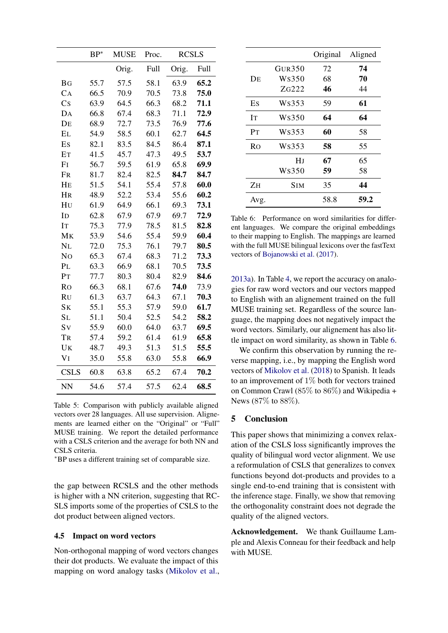|                 | $BP*$ | <b>MUSE</b> | Proc. | <b>RCSLS</b> |      |
|-----------------|-------|-------------|-------|--------------|------|
|                 |       | Orig.       | Full  | Orig.        | Full |
| <b>BG</b>       | 55.7  | 57.5        | 58.1  | 63.9         | 65.2 |
| CA              | 66.5  | 70.9        | 70.5  | 73.8         | 75.0 |
| $\overline{C}S$ | 63.9  | 64.5        | 66.3  | 68.2         | 71.1 |
| DA              | 66.8  | 67.4        | 68.3  | 71.1         | 72.9 |
| DE              | 68.9  | 72.7        | 73.5  | 76.9         | 77.6 |
| EL              | 54.9  | 58.5        | 60.1  | 62.7         | 64.5 |
| Es              | 82.1  | 83.5        | 84.5  | 86.4         | 87.1 |
| ET              | 41.5  | 45.7        | 47.3  | 49.5         | 53.7 |
| F <sub>I</sub>  | 56.7  | 59.5        | 61.9  | 65.8         | 69.9 |
| FR              | 81.7  | 82.4        | 82.5  | 84.7         | 84.7 |
| HE              | 51.5  | 54.1        | 55.4  | 57.8         | 60.0 |
| HR              | 48.9  | 52.2        | 53.4  | 55.6         | 60.2 |
| HU              | 61.9  | 64.9        | 66.1  | 69.3         | 73.1 |
| I <sub>D</sub>  | 62.8  | 67.9        | 67.9  | 69.7         | 72.9 |
| IT              | 75.3  | 77.9        | 78.5  | 81.5         | 82.8 |
| MK              | 53.9  | 54.6        | 55.4  | 59.9         | 60.4 |
| NL              | 72.0  | 75.3        | 76.1  | 79.7         | 80.5 |
| N <sub>O</sub>  | 65.3  | 67.4        | 68.3  | 71.2         | 73.3 |
| PL              | 63.3  | 66.9        | 68.1  | 70.5         | 73.5 |
| PT              | 77.7  | 80.3        | 80.4  | 82.9         | 84.6 |
| <b>Ro</b>       | 66.3  | 68.1        | 67.6  | 74.0         | 73.9 |
| <b>RU</b>       | 61.3  | 63.7        | 64.3  | 67.1         | 70.3 |
| S <sub>K</sub>  | 55.1  | 55.3        | 57.9  | 59.0         | 61.7 |
| SL              | 51.1  | 50.4        | 52.5  | 54.2         | 58.2 |
| Sv              | 55.9  | 60.0        | 64.0  | 63.7         | 69.5 |
| TR              | 57.4  | 59.2        | 61.4  | 61.9         | 65.8 |
| UK              | 48.7  | 49.3        | 51.3  | 51.5         | 55.5 |
| VI              | 35.0  | 55.8        | 63.0  | 55.8         | 66.9 |
| <b>CSLS</b>     | 60.8  | 63.8        | 65.2  | 67.4         | 70.2 |
| <b>NN</b>       | 54.6  | 57.4        | 57.5  | 62.4         | 68.5 |

Table 5: Comparison with publicly available aligned vectors over 28 languages. All use supervision. Alignements are learned either on the "Original" or "Full" MUSE training. We report the detailed performance with a CSLS criterion and the average for both NN and CSLS criteria.

<sup>∗</sup>BP uses a different training set of comparable size.

the gap between RCSLS and the other methods is higher with a NN criterion, suggesting that RC-SLS imports some of the properties of CSLS to the dot product between aligned vectors.

#### 4.5 Impact on word vectors

Non-orthogonal mapping of word vectors changes their dot products. We evaluate the impact of this mapping on word analogy tasks [\(Mikolov et al.,](#page-5-16)

|                |        | Original | Aligned |
|----------------|--------|----------|---------|
|                | GUR350 | 72       | 74      |
| DЕ             | Ws350  | 68       | 70      |
|                | ZG222  | 46       | 44      |
| Es             | Ws353  | 59       | 61      |
| ĪТ             | Ws350  | 64       | 64      |
| P <sub>T</sub> | Ws353  | 60       | 58      |
| Ro             | Ws353  | 58       | 55      |
|                | HJ     | 67       | 65      |
|                | Ws350  | 59       | 58      |
| ZH             | Sim    | 35       | 44      |
| Avg.           |        | 58.8     | 59.2    |

<span id="page-4-0"></span>Table 6: Performance on word similarities for different languages. We compare the original embeddings to their mapping to English. The mappings are learned with the full MUSE bilingual lexicons over the fastText vectors of [Bojanowski et al.](#page-5-12) [\(2017\)](#page-5-12).

[2013a\)](#page-5-16). In Table [4,](#page-3-2) we report the accuracy on analogies for raw word vectors and our vectors mapped to English with an alignement trained on the full MUSE training set. Regardless of the source language, the mapping does not negatively impact the word vectors. Similarly, our alignement has also little impact on word similarity, as shown in Table [6.](#page-4-0)

We confirm this observation by running the reverse mapping, i.e., by mapping the English word vectors of [Mikolov et al.](#page-5-17) [\(2018\)](#page-5-17) to Spanish. It leads to an improvement of 1% both for vectors trained on Common Crawl (85% to 86%) and Wikipedia + News (87% to 88%).

# 5 Conclusion

This paper shows that minimizing a convex relaxation of the CSLS loss significantly improves the quality of bilingual word vector alignment. We use a reformulation of CSLS that generalizes to convex functions beyond dot-products and provides to a single end-to-end training that is consistent with the inference stage. Finally, we show that removing the orthogonality constraint does not degrade the quality of the aligned vectors.

Acknowledgement. We thank Guillaume Lample and Alexis Conneau for their feedback and help with MUSE.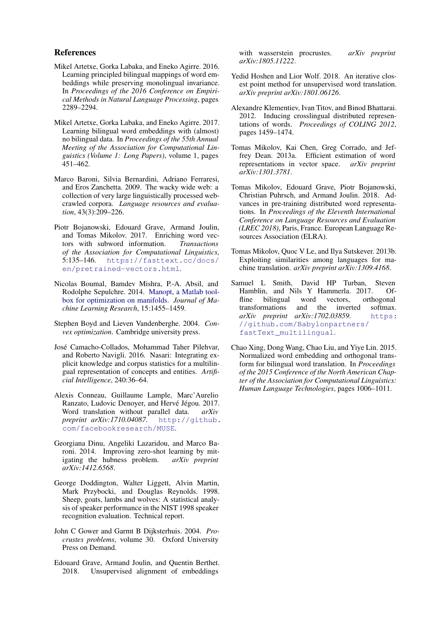## References

- <span id="page-5-3"></span>Mikel Artetxe, Gorka Labaka, and Eneko Agirre. 2016. Learning principled bilingual mappings of word embeddings while preserving monolingual invariance. In *Proceedings of the 2016 Conference on Empirical Methods in Natural Language Processing*, pages 2289–2294.
- <span id="page-5-11"></span>Mikel Artetxe, Gorka Labaka, and Eneko Agirre. 2017. Learning bilingual word embeddings with (almost) no bilingual data. In *Proceedings of the 55th Annual Meeting of the Association for Computational Linguistics (Volume 1: Long Papers)*, volume 1, pages 451–462.
- <span id="page-5-15"></span>Marco Baroni, Silvia Bernardini, Adriano Ferraresi, and Eros Zanchetta. 2009. The wacky wide web: a collection of very large linguistically processed webcrawled corpora. *Language resources and evaluation*, 43(3):209–226.
- <span id="page-5-12"></span>Piotr Bojanowski, Edouard Grave, Armand Joulin, and Tomas Mikolov. 2017. Enriching word vectors with subword information. *Transactions of the Association for Computational Linguistics*, 5:135–146. [https://fasttext.cc/docs/](https://fasttext.cc/docs/en/pretrained-vectors.html) [en/pretrained-vectors.html](https://fasttext.cc/docs/en/pretrained-vectors.html).
- <span id="page-5-9"></span>Nicolas Boumal, Bamdev Mishra, P.-A. Absil, and Rodolphe Sepulchre. 2014. [Manopt, a Matlab tool](http://www.manopt.org)[box for optimization on manifolds.](http://www.manopt.org) *Journal of Machine Learning Research*, 15:1455–1459.
- <span id="page-5-10"></span>Stephen Boyd and Lieven Vandenberghe. 2004. *Convex optimization*. Cambridge university press.
- <span id="page-5-18"></span>Jose Camacho-Collados, Mohammad Taher Pilehvar, ´ and Roberto Navigli. 2016. Nasari: Integrating explicit knowledge and corpus statistics for a multilingual representation of concepts and entities. *Artificial Intelligence*, 240:36–64.
- <span id="page-5-5"></span>Alexis Conneau, Guillaume Lample, Marc'Aurelio Ranzato, Ludovic Denoyer, and Hervé Jégou. 2017. Word translation without parallel data. *arXiv preprint arXiv:1710.04087*. [http://github.](http://github.com/facebookresearch/MUSE) [com/facebookresearch/MUSE](http://github.com/facebookresearch/MUSE).
- <span id="page-5-8"></span>Georgiana Dinu, Angeliki Lazaridou, and Marco Baroni. 2014. Improving zero-shot learning by mitigating the hubness problem. *arXiv preprint arXiv:1412.6568*.
- <span id="page-5-7"></span>George Doddington, Walter Liggett, Alvin Martin, Mark Przybocki, and Douglas Reynolds. 1998. Sheep, goats, lambs and wolves: A statistical analysis of speaker performance in the NIST 1998 speaker recognition evaluation. Technical report.
- <span id="page-5-6"></span>John C Gower and Garmt B Dijksterhuis. 2004. *Procrustes problems*, volume 30. Oxford University Press on Demand.
- <span id="page-5-14"></span>Edouard Grave, Armand Joulin, and Quentin Berthet. 2018. Unsupervised alignment of embeddings

with wasserstein procrustes. *arXiv preprint arXiv:1805.11222*.

- <span id="page-5-13"></span>Yedid Hoshen and Lior Wolf. 2018. An iterative closest point method for unsupervised word translation. *arXiv preprint arXiv:1801.06126*.
- <span id="page-5-0"></span>Alexandre Klementiev, Ivan Titov, and Binod Bhattarai. 2012. Inducing crosslingual distributed representations of words. *Proceedings of COLING 2012*, pages 1459–1474.
- <span id="page-5-16"></span>Tomas Mikolov, Kai Chen, Greg Corrado, and Jeffrey Dean. 2013a. Efficient estimation of word representations in vector space. *arXiv preprint arXiv:1301.3781*.
- <span id="page-5-17"></span>Tomas Mikolov, Edouard Grave, Piotr Bojanowski, Christian Puhrsch, and Armand Joulin. 2018. Advances in pre-training distributed word representations. In *Proceedings of the Eleventh International Conference on Language Resources and Evaluation (LREC 2018)*, Paris, France. European Language Resources Association (ELRA).
- <span id="page-5-1"></span>Tomas Mikolov, Quoc V Le, and Ilya Sutskever. 2013b. Exploiting similarities among languages for machine translation. *arXiv preprint arXiv:1309.4168*.
- <span id="page-5-4"></span>Samuel L Smith, David HP Turban, Steven Hamblin, and Nils Y Hammerla. 2017. Offline bilingual word vectors, orthogonal<br>transformations and the inverted softmax. transformations and the inverted softmax. *arXiv preprint arXiv:1702.03859*. [https:](https://github.com/Babylonpartners/fastText_multilingual) [//github.com/Babylonpartners/](https://github.com/Babylonpartners/fastText_multilingual) [fastText\\_multilingual](https://github.com/Babylonpartners/fastText_multilingual).
- <span id="page-5-2"></span>Chao Xing, Dong Wang, Chao Liu, and Yiye Lin. 2015. Normalized word embedding and orthogonal transform for bilingual word translation. In *Proceedings of the 2015 Conference of the North American Chapter of the Association for Computational Linguistics: Human Language Technologies*, pages 1006–1011.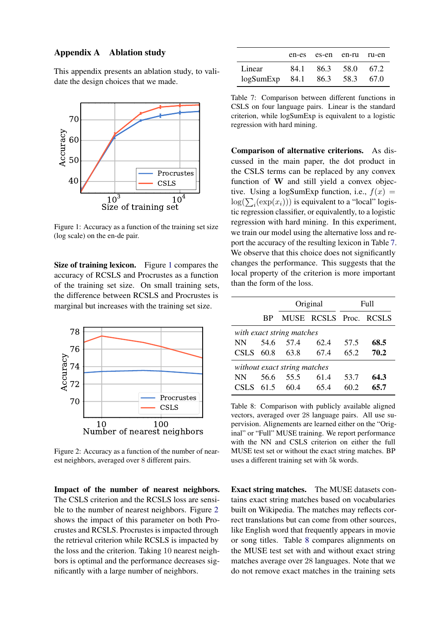# Appendix A Ablation study

This appendix presents an ablation study, to validate the design choices that we made.



<span id="page-6-1"></span>Figure 1: Accuracy as a function of the training set size (log scale) on the en-de pair.

Size of training lexicon. Figure [1](#page-6-1) compares the accuracy of RCSLS and Procrustes as a function of the training set size. On small training sets, the difference between RCSLS and Procrustes is marginal but increases with the training set size.



<span id="page-6-2"></span>Figure 2: Accuracy as a function of the number of nearest neighbors, averaged over 8 different pairs.

Impact of the number of nearest neighbors. The CSLS criterion and the RCSLS loss are sensible to the number of nearest neighbors. Figure [2](#page-6-2) shows the impact of this parameter on both Procrustes and RCSLS. Procrustes is impacted through the retrieval criterion while RCSLS is impacted by the loss and the criterion. Taking 10 nearest neighbors is optimal and the performance decreases significantly with a large number of neighbors.

|                               | en-es es-en en-ru ru-en |  |
|-------------------------------|-------------------------|--|
| Linear                        | 84.1 86.3 58.0 67.2     |  |
| logSumExp 84.1 86.3 58.3 67.0 |                         |  |

<span id="page-6-3"></span>Table 7: Comparison between different functions in CSLS on four language pairs. Linear is the standard criterion, while logSumExp is equivalent to a logistic regression with hard mining.

Comparison of alternative criterions. As discussed in the main paper, the dot product in the CSLS terms can be replaced by any convex function of W and still yield a convex objective. Using a logSumExp function, i.e.,  $f(x) =$  $log(\sum_i(exp(x_i)))$  is equivalent to a "local" logistic regression classifier, or equivalently, to a logistic regression with hard mining. In this experiment, we train our model using the alternative loss and report the accuracy of the resulting lexicon in Table [7.](#page-6-3) We observe that this choice does not significantly changes the performance. This suggests that the local property of the criterion is more important than the form of the loss.

|             |           | Original                     |                        |      | Full |
|-------------|-----------|------------------------------|------------------------|------|------|
|             | <b>BP</b> |                              | MUSE RCSLS Proc. RCSLS |      |      |
|             |           | with exact string matches    |                        |      |      |
| NN -        | 54.6      | 57.4                         | 62.4                   | 57.5 | 68.5 |
| <b>CSLS</b> | 60.8      | 63.8                         | 67.4                   | 65.2 | 70.2 |
|             |           | without exact string matches |                        |      |      |
| <b>NN</b>   | 56.6      | 55.5                         | 61.4                   | 53.7 | 64.3 |
| <b>CSLS</b> | 61.5      | 60.4                         | 65.4                   | 60.2 | 65.7 |

<span id="page-6-0"></span>Table 8: Comparison with publicly available aligned vectors, averaged over 28 language pairs. All use supervision. Alignements are learned either on the "Original" or "Full" MUSE training. We report performance with the NN and CSLS criterion on either the full MUSE test set or without the exact string matches. BP uses a different training set with 5k words.

Exact string matches. The MUSE datasets contains exact string matches based on vocabularies built on Wikipedia. The matches may reflects correct translations but can come from other sources, like English word that frequently appears in movie or song titles. Table [8](#page-6-0) compares alignments on the MUSE test set with and without exact string matches average over 28 languages. Note that we do not remove exact matches in the training sets